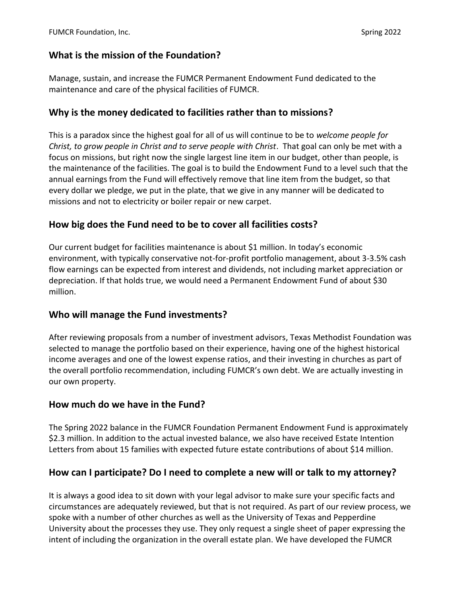## **What is the mission of the Foundation?**

Manage, sustain, and increase the FUMCR Permanent Endowment Fund dedicated to the maintenance and care of the physical facilities of FUMCR.

### **Why is the money dedicated to facilities rather than to missions?**

This is a paradox since the highest goal for all of us will continue to be to *welcome people for Christ, to grow people in Christ and to serve people with Christ*. That goal can only be met with a focus on missions, but right now the single largest line item in our budget, other than people, is the maintenance of the facilities. The goal is to build the Endowment Fund to a level such that the annual earnings from the Fund will effectively remove that line item from the budget, so that every dollar we pledge, we put in the plate, that we give in any manner will be dedicated to missions and not to electricity or boiler repair or new carpet.

## **How big does the Fund need to be to cover all facilities costs?**

Our current budget for facilities maintenance is about \$1 million. In today's economic environment, with typically conservative not-for-profit portfolio management, about 3-3.5% cash flow earnings can be expected from interest and dividends, not including market appreciation or depreciation. If that holds true, we would need a Permanent Endowment Fund of about \$30 million.

### **Who will manage the Fund investments?**

After reviewing proposals from a number of investment advisors, Texas Methodist Foundation was selected to manage the portfolio based on their experience, having one of the highest historical income averages and one of the lowest expense ratios, and their investing in churches as part of the overall portfolio recommendation, including FUMCR's own debt. We are actually investing in our own property.

### **How much do we have in the Fund?**

The Spring 2022 balance in the FUMCR Foundation Permanent Endowment Fund is approximately \$2.3 million. In addition to the actual invested balance, we also have received Estate Intention Letters from about 15 families with expected future estate contributions of about \$14 million.

### **How can I participate? Do I need to complete a new will or talk to my attorney?**

It is always a good idea to sit down with your legal advisor to make sure your specific facts and circumstances are adequately reviewed, but that is not required. As part of our review process, we spoke with a number of other churches as well as the University of Texas and Pepperdine University about the processes they use. They only request a single sheet of paper expressing the intent of including the organization in the overall estate plan. We have developed the FUMCR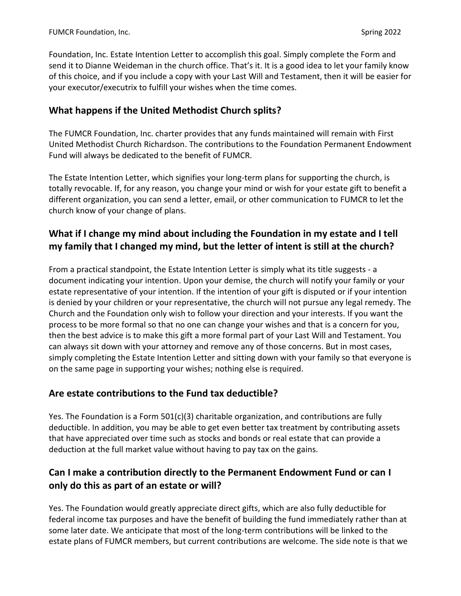Foundation, Inc. Estate Intention Letter to accomplish this goal. Simply complete the Form and send it to Dianne Weideman in the church office. That's it. It is a good idea to let your family know of this choice, and if you include a copy with your Last Will and Testament, then it will be easier for your executor/executrix to fulfill your wishes when the time comes.

## **What happens if the United Methodist Church splits?**

The FUMCR Foundation, Inc. charter provides that any funds maintained will remain with First United Methodist Church Richardson. The contributions to the Foundation Permanent Endowment Fund will always be dedicated to the benefit of FUMCR.

The Estate Intention Letter, which signifies your long-term plans for supporting the church, is totally revocable. If, for any reason, you change your mind or wish for your estate gift to benefit a different organization, you can send a letter, email, or other communication to FUMCR to let the church know of your change of plans.

# **What if I change my mind about including the Foundation in my estate and I tell my family that I changed my mind, but the letter of intent is still at the church?**

From a practical standpoint, the Estate Intention Letter is simply what its title suggests - a document indicating your intention. Upon your demise, the church will notify your family or your estate representative of your intention. If the intention of your gift is disputed or if your intention is denied by your children or your representative, the church will not pursue any legal remedy. The Church and the Foundation only wish to follow your direction and your interests. If you want the process to be more formal so that no one can change your wishes and that is a concern for you, then the best advice is to make this gift a more formal part of your Last Will and Testament. You can always sit down with your attorney and remove any of those concerns. But in most cases, simply completing the Estate Intention Letter and sitting down with your family so that everyone is on the same page in supporting your wishes; nothing else is required.

### **Are estate contributions to the Fund tax deductible?**

Yes. The Foundation is a Form 501(c)(3) charitable organization, and contributions are fully deductible. In addition, you may be able to get even better tax treatment by contributing assets that have appreciated over time such as stocks and bonds or real estate that can provide a deduction at the full market value without having to pay tax on the gains.

# **Can I make a contribution directly to the Permanent Endowment Fund or can I only do this as part of an estate or will?**

Yes. The Foundation would greatly appreciate direct gifts, which are also fully deductible for federal income tax purposes and have the benefit of building the fund immediately rather than at some later date. We anticipate that most of the long-term contributions will be linked to the estate plans of FUMCR members, but current contributions are welcome. The side note is that we